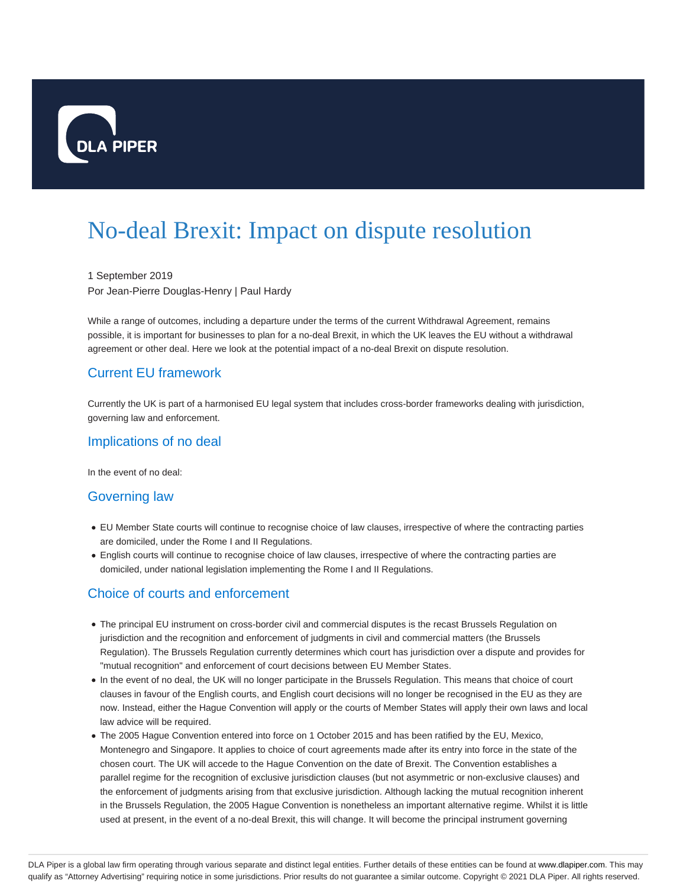

# No-deal Brexit: Impact on dispute resolution

1 September 2019 Por Jean-Pierre Douglas-Henry | Paul Hardy

While a range of outcomes, including a departure under the terms of the current Withdrawal Agreement, remains possible, it is important for businesses to plan for a no-deal Brexit, in which the UK leaves the EU without a withdrawal agreement or other deal. Here we look at the potential impact of a no-deal Brexit on dispute resolution.

# Current EU framework

Currently the UK is part of a harmonised EU legal system that includes cross-border frameworks dealing with jurisdiction, governing law and enforcement.

#### Implications of no deal

In the event of no deal:

#### Governing law

- EU Member State courts will continue to recognise choice of law clauses, irrespective of where the contracting parties are domiciled, under the Rome I and II Regulations.
- English courts will continue to recognise choice of law clauses, irrespective of where the contracting parties are domiciled, under national legislation implementing the Rome I and II Regulations.

## Choice of courts and enforcement

- The principal EU instrument on cross-border civil and commercial disputes is the recast Brussels Regulation on jurisdiction and the recognition and enforcement of judgments in civil and commercial matters (the Brussels Regulation). The Brussels Regulation currently determines which court has jurisdiction over a dispute and provides for "mutual recognition" and enforcement of court decisions between EU Member States.
- In the event of no deal, the UK will no longer participate in the Brussels Regulation. This means that choice of court clauses in favour of the English courts, and English court decisions will no longer be recognised in the EU as they are now. Instead, either the Hague Convention will apply or the courts of Member States will apply their own laws and local law advice will be required.
- The 2005 Hague Convention entered into force on 1 October 2015 and has been ratified by the EU, Mexico, Montenegro and Singapore. It applies to choice of court agreements made after its entry into force in the state of the chosen court. The UK will accede to the Hague Convention on the date of Brexit. The Convention establishes a parallel regime for the recognition of exclusive jurisdiction clauses (but not asymmetric or non-exclusive clauses) and the enforcement of judgments arising from that exclusive jurisdiction. Although lacking the mutual recognition inherent in the Brussels Regulation, the 2005 Hague Convention is nonetheless an important alternative regime. Whilst it is little used at present, in the event of a no-deal Brexit, this will change. It will become the principal instrument governing